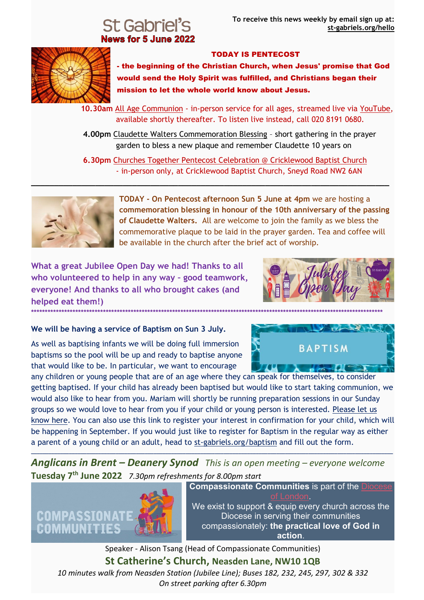# News for 5 June 2022



### TODAY IS PENTECOST

- the beginning of the Christian Church, when Jesus' promise that God would send the Holy Spirit was fulfilled, and Christians began their mission to let the whole world know about Jesus.

 **10.30am** [All Age Communion](https://st-gabriels.us19.list-manage.com/track/click?u=8be6c1f9211f8d2b867be0c19&id=d3dd706d84&e=8fbea94df1) - in-person service for all ages, streamed live via [YouTube,](https://st-gabriels.us19.list-manage.com/track/click?u=8be6c1f9211f8d2b867be0c19&id=0ad6262c78&e=8fbea94df1) available shortly thereafter. To listen live instead, call 020 8191 0680.

 **4.00pm** [Claudette Walters Commemoration Blessing](https://st-gabriels.us19.list-manage.com/track/click?u=8be6c1f9211f8d2b867be0c19&id=eee9593100&e=8fbea94df1) – short gathering in the prayer garden to bless a new plaque and remember Claudette 10 years on

 **6.30pm** [Churches Together Pentecost Celebration @ Cricklewood Baptist Church](https://st-gabriels.us19.list-manage.com/track/click?u=8be6c1f9211f8d2b867be0c19&id=50d26c8250&e=8fbea94df1) - in-person only, at Cricklewood Baptist Church, Sneyd Road NW2 6AN

**\_\_\_\_\_\_\_\_\_\_\_\_\_\_\_\_\_\_\_\_\_\_\_\_\_\_\_\_\_\_\_\_\_\_\_\_\_\_\_\_\_\_\_\_\_\_\_\_\_\_\_\_\_\_\_\_\_\_\_\_\_\_\_\_\_\_\_\_\_\_\_\_\_\_\_\_\_\_**



**TODAY - On Pentecost afternoon Sun 5 June at 4pm** we are hosting a **commemoration blessing in honour of the 10th anniversary of the passing of Claudette Walters.** All are welcome to join the family as we bless the commemorative plaque to be laid in the prayer garden. Tea and coffee will be available in the church after the brief act of worship.

**What a great Jubilee Open Day we had! Thanks to all who volunteered to help in any way – good teamwork, everyone! And thanks to all who brought cakes (and helped eat them!) \*\*\*\*\*\*\*\*\*\*\*\*\*\*\*\*\*\*\*\*\*\*\*\*\*\*\*\*\*\*\*\*\*\*\*\*\*\*\*\*\*\*\*\*\*\*\*\*\*\*\*\*\*\*\*\*\*\*\*\*\*\*\*\*\*\*\*\*\*\*\*\*\*\*\*\*\*\*\*\*\*\*\*\*\*\*\*\*\*\*\*\*\*\*\*\*\*\*\*\*\*\*\*\*\*\*\*\*\*\*\*\*\*\*\*\*\*\*\*\*\*\*\*\*\*\*\***



**BAPTISM** 

 $\sim$ 

#### **We will be having a service of Baptism on Sun 3 July.**

As well as baptising infants we will be doing full immersion baptisms so the pool will be up and ready to baptise anyone that would like to be. In particular, we want to encourage

any children or young people that are of an age where they can speak for themselves, to consider getting baptised. If your child has already been baptised but would like to start taking communion, we would also like to hear from you. Mariam will shortly be running preparation sessions in our Sunday groups so we would love to hear from you if your child or young person is interested. [Please let us](https://st-gabriels.us19.list-manage.com/track/click?u=8be6c1f9211f8d2b867be0c19&id=8da3df9295&e=8fbea94df1)  [know here.](https://st-gabriels.us19.list-manage.com/track/click?u=8be6c1f9211f8d2b867be0c19&id=8da3df9295&e=8fbea94df1) You can also use this link to register your interest in confirmation for your child, which will be happening in September. If you would just like to register for Baptism in the regular way as either a parent of a young child or an adult, head to [st-gabriels.org/baptism](https://st-gabriels.us19.list-manage.com/track/click?u=8be6c1f9211f8d2b867be0c19&id=8869cd5845&e=8fbea94df1) and fill out the form.

*Anglicans in Brent – Deanery Synod This is an open meeting – everyone welcome* **Tuesday 7th June 2022** *7.30pm refreshments for 8.00pm start*

**\_\_\_\_\_\_\_\_\_\_\_\_\_\_\_\_\_\_\_\_\_\_\_\_\_\_\_\_\_\_\_\_\_\_\_\_\_\_\_\_\_\_\_\_\_\_\_\_\_\_\_\_\_\_\_\_\_\_\_\_\_\_\_\_\_\_\_\_\_\_\_\_\_\_\_\_\_\_\_\_\_\_\_\_\_\_\_\_\_\_\_\_\_\_\_\_\_\_\_\_\_\_\_\_\_\_\_\_\_\_\_\_\_\_\_\_\_\_\_\_\_\_\_\_**



**Compassionate Communities** is part of the Dioces [of London.](https://www.london.anglican.org/)

We exist to support & equip every church across the Diocese in serving their communities compassionately: **the practical love of God in action**.

Speaker - Alison Tsang (Head of Compassionate Communities) **St Catherine's Church, Neasden Lane, NW10 1QB** *10 minutes walk from Neasden Station (Jubilee Line); Buses 182, 232, 245, 297, 302 & 332 On street parking after 6.30pm*